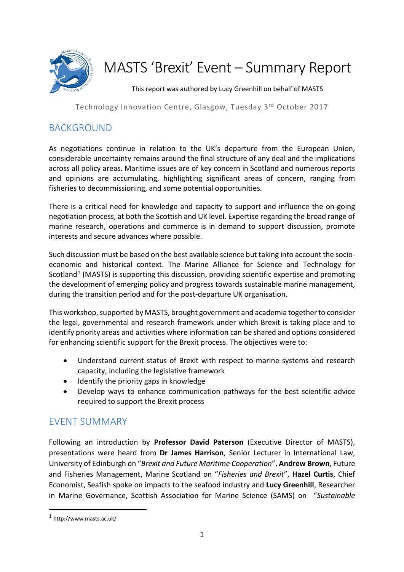

# MASTS 'Brexit' Event – Summary Report

This report was authored by Lucy Greenhill on behalf of MASTS

Technology Innovation Centre, Glasgow, Tuesday 3rd October 2017

# BACKGROUND

As negotiations continue in relation to the UK's departure from the European Union, considerable uncertainty remains around the final structure of any deal and the implications across all policy areas. Maritime issues are of key concern in Scotland and numerous reports and opinions are accumulating, highlighting significant areas of concern, ranging from fisheries to decommissioning, and some potential opportunities.

There is a critical need for knowledge and capacity to support and influence the on-going negotiation process, at both the Scottish and UK level. Expertise regarding the broad range of marine research, operations and commerce is in demand to support discussion, promote interests and secure advances where possible.

Such discussion must be based on the best available science but taking into account the socioeconomic and historical context. The Marine Alliance for Science and Technology for Scotland<sup>[1](#page-0-0)</sup> (MASTS) is supporting this discussion, providing scientific expertise and promoting the development of emerging policy and progress towards sustainable marine management, during the transition period and for the post-departure UK organisation.

This workshop, supported by MASTS, brought government and academia together to consider the legal, governmental and research framework under which Brexit is taking place and to identify priority areas and activities where information can be shared and options considered for enhancing scientific support for the Brexit process. The objectives were to:

- Understand current status of Brexit with respect to marine systems and research capacity, including the legislative framework
- Identify the priority gaps in knowledge
- Develop ways to enhance communication pathways for the best scientific advice required to support the Brexit process

# EVENT SUMMARY

Following an introduction by **Professor David Paterson** (Executive Director of MASTS), presentations were heard from **Dr James Harrison**, Senior Lecturer in International Law, University of Edinburgh on "*Brexit and Future Maritime Cooperation*", **Andrew Brown**, Future and Fisheries Management, Marine Scotland on "*Fisheries and Brexit*", **Hazel Curtis**, Chief Economist, Seafish spoke on impacts to the seafood industry and **Lucy Greenhill**, Researcher in Marine Governance, Scottish Association for Marine Science (SAMS) on "*Sustainable* 

<span id="page-0-0"></span> <sup>1</sup> http://www.masts.ac.uk/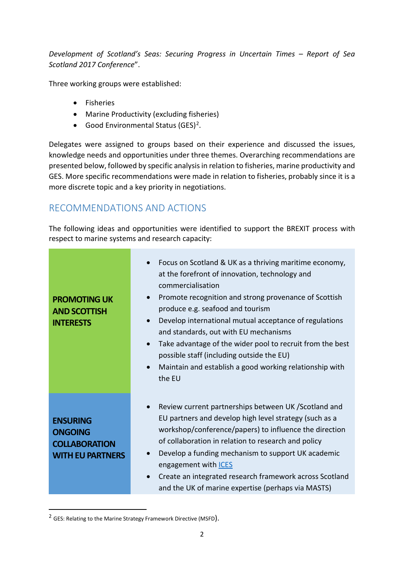*Development of Scotland's Seas: Securing Progress in Uncertain Times – Report of Sea Scotland 2017 Conference*".

Three working groups were established:

- Fisheries
- Marine Productivity (excluding fisheries)
- Good Environmental Status (GES)[2](#page-1-0).

Delegates were assigned to groups based on their experience and discussed the issues, knowledge needs and opportunities under three themes. Overarching recommendations are presented below, followed by specific analysis in relation to fisheries, marine productivity and GES. More specific recommendations were made in relation to fisheries, probably since it is a more discrete topic and a key priority in negotiations.

# RECOMMENDATIONS AND ACTIONS

The following ideas and opportunities were identified to support the BREXIT process with respect to marine systems and research capacity:

| <b>PROMOTING UK</b><br><b>AND SCOTTISH</b><br><b>INTERESTS</b>                       | Focus on Scotland & UK as a thriving maritime economy,<br>at the forefront of innovation, technology and<br>commercialisation<br>Promote recognition and strong provenance of Scottish<br>$\bullet$<br>produce e.g. seafood and tourism<br>Develop international mutual acceptance of regulations<br>$\bullet$<br>and standards, out with EU mechanisms<br>Take advantage of the wider pool to recruit from the best<br>$\bullet$<br>possible staff (including outside the EU)<br>Maintain and establish a good working relationship with<br>the EU |
|--------------------------------------------------------------------------------------|-----------------------------------------------------------------------------------------------------------------------------------------------------------------------------------------------------------------------------------------------------------------------------------------------------------------------------------------------------------------------------------------------------------------------------------------------------------------------------------------------------------------------------------------------------|
| <b>ENSURING</b><br><b>ONGOING</b><br><b>COLLABORATION</b><br><b>WITH EU PARTNERS</b> | Review current partnerships between UK / Scotland and<br>$\bullet$<br>EU partners and develop high level strategy (such as a<br>workshop/conference/papers) to influence the direction<br>of collaboration in relation to research and policy<br>Develop a funding mechanism to support UK academic<br>$\bullet$<br>engagement with <b>ICES</b><br>Create an integrated research framework across Scotland<br>and the UK of marine expertise (perhaps via MASTS)                                                                                    |

<span id="page-1-0"></span><sup>&</sup>lt;sup>2</sup> GES: Relating to the Marine Strategy Framework Directive (MSFD).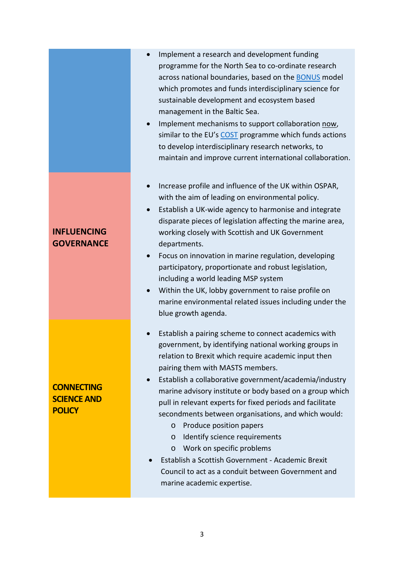- Implement a research and development funding programme for the North Sea to co-ordinate research across national boundaries, based on th[e BONUS](https://www.bonusportal.org/about_us) model which promotes and funds interdisciplinary science for sustainable development and ecosystem based management in the Baltic Sea.
- Implement mechanisms to support collaboration now, similar to the EU's [COST](http://www.cost.eu/) programme which funds actions to develop interdisciplinary research networks, to maintain and improve current international collaboration.
- Increase profile and influence of the UK within OSPAR, with the aim of leading on environmental policy.
- Establish a UK-wide agency to harmonise and integrate disparate pieces of legislation affecting the marine area, working closely with Scottish and UK Government departments.
- Focus on innovation in marine regulation, developing participatory, proportionate and robust legislation, including a world leading MSP system
- Within the UK, lobby government to raise profile on marine environmental related issues including under the blue growth agenda.
- Establish a pairing scheme to connect academics with government, by identifying national working groups in relation to Brexit which require academic input then pairing them with MASTS members.
- Establish a collaborative government/academia/industry marine advisory institute or body based on a group which pull in relevant experts for fixed periods and facilitate secondments between organisations, and which would:
	- o Produce position papers
	- o Identify science requirements
	- o Work on specific problems
- Establish a Scottish Government Academic Brexit Council to act as a conduit between Government and marine academic expertise.

#### **INFLUENCING GOVERNANCE**

**CONNECTING SCIENCE AND POLICY**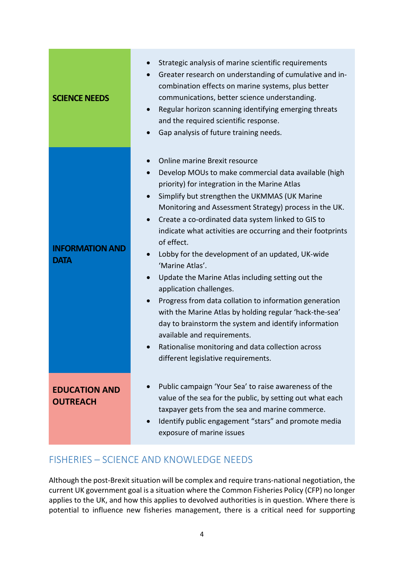| <b>SCIENCE NEEDS</b>                    | Strategic analysis of marine scientific requirements<br>Greater research on understanding of cumulative and in-<br>$\bullet$<br>combination effects on marine systems, plus better<br>communications, better science understanding.<br>Regular horizon scanning identifying emerging threats<br>$\bullet$<br>and the required scientific response.<br>Gap analysis of future training needs.                                                                                                                                                                                                                                                                                                                                                                                                                                                                                                                                       |
|-----------------------------------------|------------------------------------------------------------------------------------------------------------------------------------------------------------------------------------------------------------------------------------------------------------------------------------------------------------------------------------------------------------------------------------------------------------------------------------------------------------------------------------------------------------------------------------------------------------------------------------------------------------------------------------------------------------------------------------------------------------------------------------------------------------------------------------------------------------------------------------------------------------------------------------------------------------------------------------|
| <b>INFORMATION AND</b><br><b>DATA</b>   | Online marine Brexit resource<br>$\bullet$<br>Develop MOUs to make commercial data available (high<br>$\bullet$<br>priority) for integration in the Marine Atlas<br>Simplify but strengthen the UKMMAS (UK Marine<br>Monitoring and Assessment Strategy) process in the UK.<br>Create a co-ordinated data system linked to GIS to<br>$\bullet$<br>indicate what activities are occurring and their footprints<br>of effect.<br>Lobby for the development of an updated, UK-wide<br>$\bullet$<br>'Marine Atlas'.<br>Update the Marine Atlas including setting out the<br>$\bullet$<br>application challenges.<br>Progress from data collation to information generation<br>$\bullet$<br>with the Marine Atlas by holding regular 'hack-the-sea'<br>day to brainstorm the system and identify information<br>available and requirements.<br>Rationalise monitoring and data collection across<br>different legislative requirements. |
| <b>EDUCATION AND</b><br><b>OUTREACH</b> | Public campaign 'Your Sea' to raise awareness of the<br>value of the sea for the public, by setting out what each<br>taxpayer gets from the sea and marine commerce.<br>Identify public engagement "stars" and promote media<br>exposure of marine issues                                                                                                                                                                                                                                                                                                                                                                                                                                                                                                                                                                                                                                                                          |

# FISHERIES – SCIENCE AND KNOWLEDGE NEEDS

Although the post-Brexit situation will be complex and require trans-national negotiation, the current UK government goal is a situation where the Common Fisheries Policy (CFP) no longer applies to the UK, and how this applies to devolved authorities is in question. Where there is potential to influence new fisheries management, there is a critical need for supporting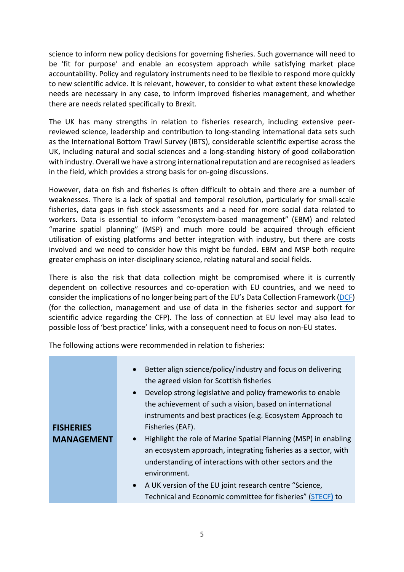science to inform new policy decisions for governing fisheries. Such governance will need to be 'fit for purpose' and enable an ecosystem approach while satisfying market place accountability. Policy and regulatory instruments need to be flexible to respond more quickly to new scientific advice. It is relevant, however, to consider to what extent these knowledge needs are necessary in any case, to inform improved fisheries management, and whether there are needs related specifically to Brexit.

The UK has many strengths in relation to fisheries research, including extensive peerreviewed science, leadership and contribution to long-standing international data sets such as the International Bottom Trawl Survey (IBTS), considerable scientific expertise across the UK, including natural and social sciences and a long-standing history of good collaboration with industry. Overall we have a strong international reputation and are recognised as leaders in the field, which provides a strong basis for on-going discussions.

However, data on fish and fisheries is often difficult to obtain and there are a number of weaknesses. There is a lack of spatial and temporal resolution, particularly for small-scale fisheries, data gaps in fish stock assessments and a need for more social data related to workers. Data is essential to inform "ecosystem-based management" (EBM) and related "marine spatial planning" (MSP) and much more could be acquired through efficient utilisation of existing platforms and better integration with industry, but there are costs involved and we need to consider how this might be funded. EBM and MSP both require greater emphasis on inter-disciplinary science, relating natural and social fields.

There is also the risk that data collection might be compromised where it is currently dependent on collective resources and co-operation with EU countries, and we need to consider the implications of no longer being part of the EU's Data Collection Framework [\(DCF\)](https://datacollection.jrc.ec.europa.eu/) (for the collection, management and use of data in the fisheries sector and support for scientific advice regarding the CFP). The loss of connection at EU level may also lead to possible loss of 'best practice' links, with a consequent need to focus on non-EU states.

The following actions were recommended in relation to fisheries:

|                   | Better align science/policy/industry and focus on delivering<br>$\bullet$<br>the agreed vision for Scottish fisheries<br>• Develop strong legislative and policy frameworks to enable<br>the achievement of such a vision, based on international |
|-------------------|---------------------------------------------------------------------------------------------------------------------------------------------------------------------------------------------------------------------------------------------------|
| <b>FISHERIES</b>  | instruments and best practices (e.g. Ecosystem Approach to<br>Fisheries (EAF).                                                                                                                                                                    |
| <b>MANAGEMENT</b> | • Highlight the role of Marine Spatial Planning (MSP) in enabling<br>an ecosystem approach, integrating fisheries as a sector, with<br>understanding of interactions with other sectors and the<br>environment.                                   |
|                   | • A UK version of the EU joint research centre "Science,<br>Technical and Economic committee for fisheries" (STECF) to                                                                                                                            |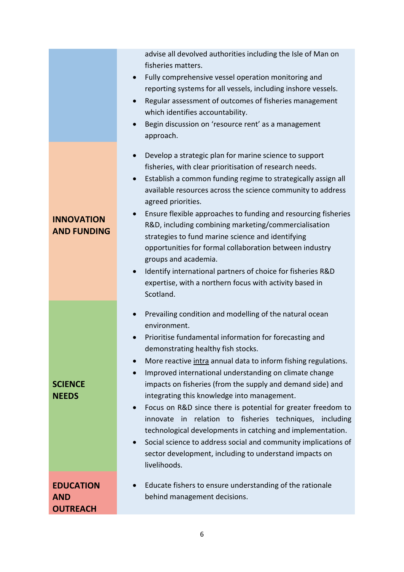|                                                   | advise all devolved authorities including the Isle of Man on<br>fisheries matters.<br>Fully comprehensive vessel operation monitoring and<br>$\bullet$<br>reporting systems for all vessels, including inshore vessels.<br>Regular assessment of outcomes of fisheries management<br>$\bullet$<br>which identifies accountability.<br>Begin discussion on 'resource rent' as a management<br>$\bullet$<br>approach.                                                                                                                                                                                                                                                                                                                                                                          |
|---------------------------------------------------|----------------------------------------------------------------------------------------------------------------------------------------------------------------------------------------------------------------------------------------------------------------------------------------------------------------------------------------------------------------------------------------------------------------------------------------------------------------------------------------------------------------------------------------------------------------------------------------------------------------------------------------------------------------------------------------------------------------------------------------------------------------------------------------------|
| <b>INNOVATION</b><br><b>AND FUNDING</b>           | Develop a strategic plan for marine science to support<br>$\bullet$<br>fisheries, with clear prioritisation of research needs.<br>Establish a common funding regime to strategically assign all<br>$\bullet$<br>available resources across the science community to address<br>agreed priorities.<br>Ensure flexible approaches to funding and resourcing fisheries<br>$\bullet$<br>R&D, including combining marketing/commercialisation<br>strategies to fund marine science and identifying<br>opportunities for formal collaboration between industry<br>groups and academia.<br>Identify international partners of choice for fisheries R&D<br>$\bullet$<br>expertise, with a northern focus with activity based in<br>Scotland.                                                         |
| <b>SCIENCE</b><br><b>NEEDS</b>                    | Prevailing condition and modelling of the natural ocean<br>environment.<br>Prioritise fundamental information for forecasting and<br>demonstrating healthy fish stocks.<br>More reactive intra annual data to inform fishing regulations.<br>$\bullet$<br>Improved international understanding on climate change<br>$\bullet$<br>impacts on fisheries (from the supply and demand side) and<br>integrating this knowledge into management.<br>Focus on R&D since there is potential for greater freedom to<br>innovate in relation to fisheries techniques, including<br>technological developments in catching and implementation.<br>Social science to address social and community implications of<br>$\bullet$<br>sector development, including to understand impacts on<br>livelihoods. |
| <b>EDUCATION</b><br><b>AND</b><br><b>OUTREACH</b> | Educate fishers to ensure understanding of the rationale<br>behind management decisions.                                                                                                                                                                                                                                                                                                                                                                                                                                                                                                                                                                                                                                                                                                     |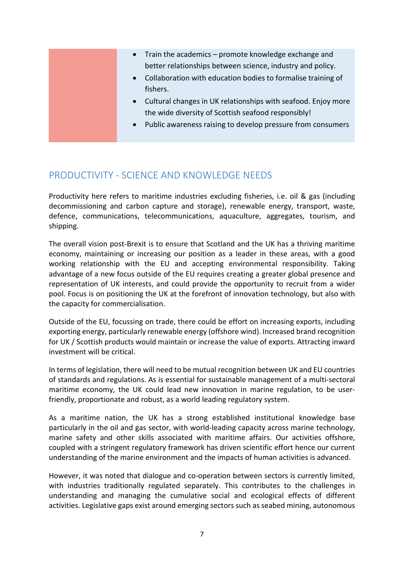| • Train the academics – promote knowledge exchange and<br>better relationships between science, industry and policy.<br>Collaboration with education bodies to formalise training of<br>$\bullet$<br>fishers.<br>• Cultural changes in UK relationships with seafood. Enjoy more<br>the wide diversity of Scottish seafood responsibly! |
|-----------------------------------------------------------------------------------------------------------------------------------------------------------------------------------------------------------------------------------------------------------------------------------------------------------------------------------------|
|                                                                                                                                                                                                                                                                                                                                         |
| Public awareness raising to develop pressure from consumers<br>$\bullet$                                                                                                                                                                                                                                                                |

## PRODUCTIVITY - SCIENCE AND KNOWLEDGE NEEDS

Productivity here refers to maritime industries excluding fisheries, i.e. oil & gas (including decommissioning and carbon capture and storage), renewable energy, transport, waste, defence, communications, telecommunications, aquaculture, aggregates, tourism, and shipping.

The overall vision post-Brexit is to ensure that Scotland and the UK has a thriving maritime economy, maintaining or increasing our position as a leader in these areas, with a good working relationship with the EU and accepting environmental responsibility. Taking advantage of a new focus outside of the EU requires creating a greater global presence and representation of UK interests, and could provide the opportunity to recruit from a wider pool. Focus is on positioning the UK at the forefront of innovation technology, but also with the capacity for commercialisation.

Outside of the EU, focussing on trade, there could be effort on increasing exports, including exporting energy, particularly renewable energy (offshore wind). Increased brand recognition for UK / Scottish products would maintain or increase the value of exports. Attracting inward investment will be critical.

In terms of legislation, there will need to be mutual recognition between UK and EU countries of standards and regulations. As is essential for sustainable management of a multi-sectoral maritime economy, the UK could lead new innovation in marine regulation, to be userfriendly, proportionate and robust, as a world leading regulatory system.

As a maritime nation, the UK has a strong established institutional knowledge base particularly in the oil and gas sector, with world-leading capacity across marine technology, marine safety and other skills associated with maritime affairs. Our activities offshore, coupled with a stringent regulatory framework has driven scientific effort hence our current understanding of the marine environment and the impacts of human activities is advanced.

However, it was noted that dialogue and co-operation between sectors is currently limited, with industries traditionally regulated separately. This contributes to the challenges in understanding and managing the cumulative social and ecological effects of different activities. Legislative gaps exist around emerging sectors such as seabed mining, autonomous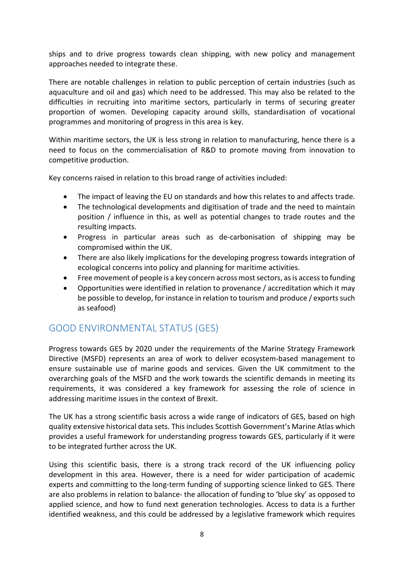ships and to drive progress towards clean shipping, with new policy and management approaches needed to integrate these.

There are notable challenges in relation to public perception of certain industries (such as aquaculture and oil and gas) which need to be addressed. This may also be related to the difficulties in recruiting into maritime sectors, particularly in terms of securing greater proportion of women. Developing capacity around skills, standardisation of vocational programmes and monitoring of progress in this area is key.

Within maritime sectors, the UK is less strong in relation to manufacturing, hence there is a need to focus on the commercialisation of R&D to promote moving from innovation to competitive production.

Key concerns raised in relation to this broad range of activities included:

- The impact of leaving the EU on standards and how this relates to and affects trade.
- The technological developments and digitisation of trade and the need to maintain position / influence in this, as well as potential changes to trade routes and the resulting impacts.
- Progress in particular areas such as de-carbonisation of shipping may be compromised within the UK.
- There are also likely implications for the developing progress towards integration of ecological concerns into policy and planning for maritime activities.
- Free movement of people is a key concern across most sectors, as is access to funding
- Opportunities were identified in relation to provenance / accreditation which it may be possible to develop, for instance in relation to tourism and produce / exports such as seafood)

# GOOD ENVIRONMENTAL STATUS (GES)

Progress towards GES by 2020 under the requirements of the Marine Strategy Framework Directive (MSFD) represents an area of work to deliver ecosystem-based management to ensure sustainable use of marine goods and services. Given the UK commitment to the overarching goals of the MSFD and the work towards the scientific demands in meeting its requirements, it was considered a key framework for assessing the role of science in addressing maritime issues in the context of Brexit.

The UK has a strong scientific basis across a wide range of indicators of GES, based on high quality extensive historical data sets. This includes Scottish Government's Marine Atlas which provides a useful framework for understanding progress towards GES, particularly if it were to be integrated further across the UK.

Using this scientific basis, there is a strong track record of the UK influencing policy development in this area. However, there is a need for wider participation of academic experts and committing to the long-term funding of supporting science linked to GES. There are also problems in relation to balance- the allocation of funding to 'blue sky' as opposed to applied science, and how to fund next generation technologies. Access to data is a further identified weakness, and this could be addressed by a legislative framework which requires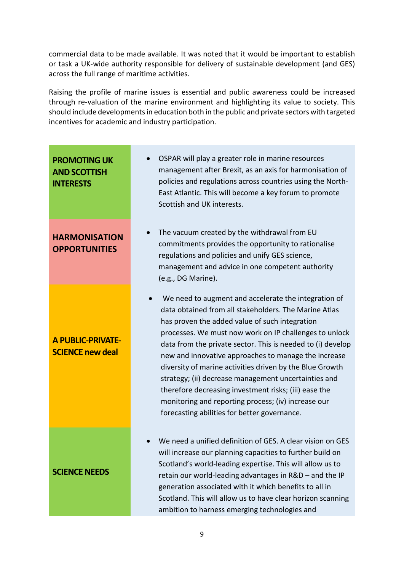commercial data to be made available. It was noted that it would be important to establish or task a UK-wide authority responsible for delivery of sustainable development (and GES) across the full range of maritime activities.

Raising the profile of marine issues is essential and public awareness could be increased through re-valuation of the marine environment and highlighting its value to society. This should include developments in education both in the public and private sectors with targeted incentives for academic and industry participation.

| <b>PROMOTING UK</b><br><b>AND SCOTTISH</b><br><b>INTERESTS</b> | OSPAR will play a greater role in marine resources<br>management after Brexit, as an axis for harmonisation of<br>policies and regulations across countries using the North-<br>East Atlantic. This will become a key forum to promote<br>Scottish and UK interests.                                                                                                                                                                                                                                                                                                                                                                 |
|----------------------------------------------------------------|--------------------------------------------------------------------------------------------------------------------------------------------------------------------------------------------------------------------------------------------------------------------------------------------------------------------------------------------------------------------------------------------------------------------------------------------------------------------------------------------------------------------------------------------------------------------------------------------------------------------------------------|
| <b>HARMONISATION</b><br><b>OPPORTUNITIES</b>                   | The vacuum created by the withdrawal from EU<br>commitments provides the opportunity to rationalise<br>regulations and policies and unify GES science,<br>management and advice in one competent authority<br>(e.g., DG Marine).                                                                                                                                                                                                                                                                                                                                                                                                     |
| <b>A PUBLIC-PRIVATE-</b><br><b>SCIENCE new deal</b>            | We need to augment and accelerate the integration of<br>data obtained from all stakeholders. The Marine Atlas<br>has proven the added value of such integration<br>processes. We must now work on IP challenges to unlock<br>data from the private sector. This is needed to (i) develop<br>new and innovative approaches to manage the increase<br>diversity of marine activities driven by the Blue Growth<br>strategy; (ii) decrease management uncertainties and<br>therefore decreasing investment risks; (iii) ease the<br>monitoring and reporting process; (iv) increase our<br>forecasting abilities for better governance. |
| <b>SCIENCE NEEDS</b>                                           | We need a unified definition of GES. A clear vision on GES<br>will increase our planning capacities to further build on<br>Scotland's world-leading expertise. This will allow us to<br>retain our world-leading advantages in R&D - and the IP<br>generation associated with it which benefits to all in<br>Scotland. This will allow us to have clear horizon scanning<br>ambition to harness emerging technologies and                                                                                                                                                                                                            |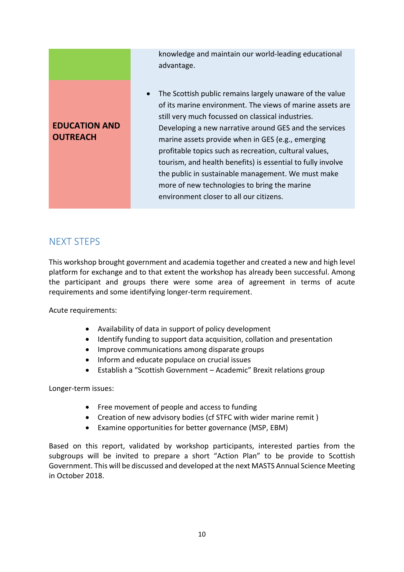### **EDUCATION AND OUTREACH**

knowledge and maintain our world-leading educational advantage.

• The Scottish public remains largely unaware of the value of its marine environment. The views of marine assets are still very much focussed on classical industries. Developing a new narrative around GES and the services marine assets provide when in GES (e.g., emerging profitable topics such as recreation, cultural values, tourism, and health benefits) is essential to fully involve the public in sustainable management. We must make more of new technologies to bring the marine environment closer to all our citizens.

# NEXT STEPS

This workshop brought government and academia together and created a new and high level platform for exchange and to that extent the workshop has already been successful. Among the participant and groups there were some area of agreement in terms of acute requirements and some identifying longer-term requirement.

Acute requirements:

- Availability of data in support of policy development
- Identify funding to support data acquisition, collation and presentation
- Improve communications among disparate groups
- Inform and educate populace on crucial issues
- Establish a "Scottish Government Academic" Brexit relations group

Longer-term issues:

- Free movement of people and access to funding
- Creation of new advisory bodies (cf STFC with wider marine remit )
- Examine opportunities for better governance (MSP, EBM)

Based on this report, validated by workshop participants, interested parties from the subgroups will be invited to prepare a short "Action Plan" to be provide to Scottish Government. This will be discussed and developed at the next MASTS Annual Science Meeting in October 2018.